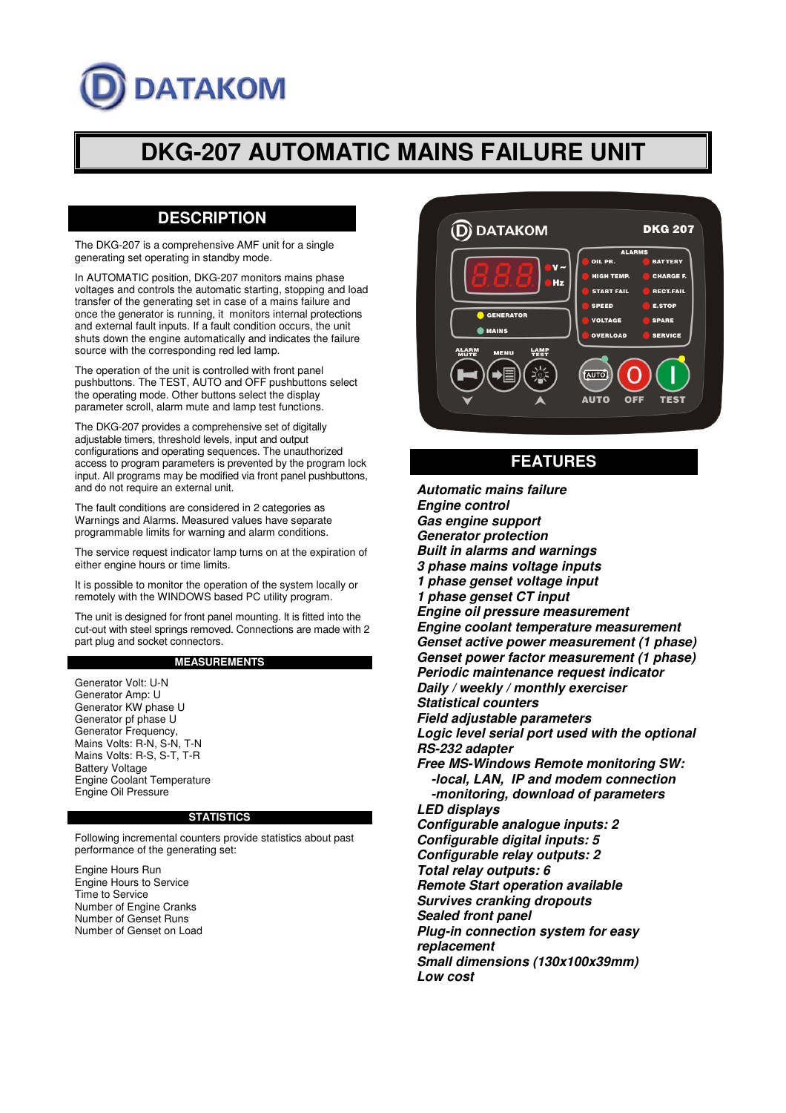# **DATAKOM**

# **DKG-207 AUTOMATIC MAINS FAILURE UNIT**

## **DESCRIPTION**

The DKG-207 is a comprehensive AMF unit for a single generating set operating in standby mode.

In AUTOMATIC position, DKG-207 monitors mains phase voltages and controls the automatic starting, stopping and load transfer of the generating set in case of a mains failure and once the generator is running, it monitors internal protections and external fault inputs. If a fault condition occurs, the unit shuts down the engine automatically and indicates the failure source with the corresponding red led lamp.

The operation of the unit is controlled with front panel pushbuttons. The TEST, AUTO and OFF pushbuttons select the operating mode. Other buttons select the display parameter scroll, alarm mute and lamp test functions.

The DKG-207 provides a comprehensive set of digitally adjustable timers, threshold levels, input and output configurations and operating sequences. The unauthorized access to program parameters is prevented by the program lock input. All programs may be modified via front panel pushbuttons, and do not require an external unit.

The fault conditions are considered in 2 categories as Warnings and Alarms. Measured values have separate programmable limits for warning and alarm conditions.

The service request indicator lamp turns on at the expiration of either engine hours or time limits.

It is possible to monitor the operation of the system locally or remotely with the WINDOWS based PC utility program.

The unit is designed for front panel mounting. It is fitted into the cut-out with steel springs removed. Connections are made with 2 part plug and socket connectors.

#### **MEASUREMENTS**

Generator Volt: U-N Generator Amp: U Generator KW phase U Generator pf phase U Generator Frequency, Mains Volts: R-N, S-N, T-N Mains Volts: R-S, S-T, T-R Battery Voltage Engine Coolant Temperature Engine Oil Pressure

#### **STATISTICS**

Following incremental counters provide statistics about past performance of the generating set:

Engine Hours Run Engine Hours to Service Time to Service Number of Engine Cranks Number of Genset Runs Number of Genset on Load



### **FEATURES**

**Automatic mains failure Engine control Gas engine support Generator protection Built in alarms and warnings 3 phase mains voltage inputs 1 phase genset voltage input 1 phase genset CT input Engine oil pressure measurement Engine coolant temperature measurement Genset active power measurement (1 phase) Genset power factor measurement (1 phase) Periodic maintenance request indicator Daily / weekly / monthly exerciser Statistical counters Field adjustable parameters Logic level serial port used with the optional RS-232 adapter Free MS-Windows Remote monitoring SW: -local, LAN, IP and modem connection -monitoring, download of parameters LED displays Configurable analogue inputs: 2 Configurable digital inputs: 5 Configurable relay outputs: 2 Total relay outputs: 6 Remote Start operation available Survives cranking dropouts Sealed front panel Plug-in connection system for easy replacement Small dimensions (130x100x39mm) Low cost**